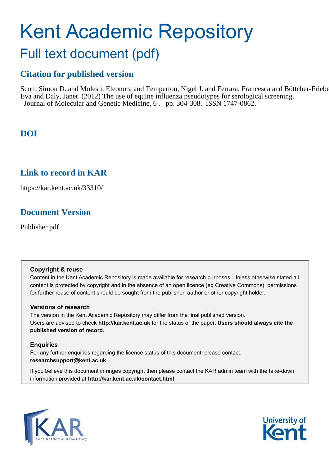# Kent Academic Repository Full text document (pdf)

# **Citation for published version**

Scott, Simon D. and Molesti, Eleonora and Temperton, Nigel J. and Ferrara, Francesca and Böttcher-Frieber Eva and Daly, Janet (2012) The use of equine influenza pseudotypes for serological screening. Journal of Molecular and Genetic Medicine, 6. pp. 304-308. ISSN 1747-0862.

# **DOI**

## **Link to record in KAR**

https://kar.kent.ac.uk/33310/

# **Document Version**

Publisher pdf

## **Copyright & reuse**

Content in the Kent Academic Repository is made available for research purposes. Unless otherwise stated all content is protected by copyright and in the absence of an open licence (eg Creative Commons), permissions for further reuse of content should be sought from the publisher, author or other copyright holder.

## **Versions of research**

The version in the Kent Academic Repository may differ from the final published version. Users are advised to check **http://kar.kent.ac.uk** for the status of the paper. **Users should always cite the published version of record.**

## **Enquiries**

For any further enquiries regarding the licence status of this document, please contact: **researchsupport@kent.ac.uk**

If you believe this document infringes copyright then please contact the KAR admin team with the take-down information provided at **http://kar.kent.ac.uk/contact.html**



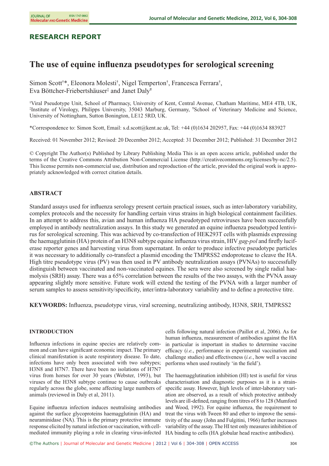## **RESEARCH REPORT**

## **The use of equine influenza pseudotypes for serological screening**

Simon Scott<sup>†\*</sup>, Eleonora Molesti<sup>†</sup>, Nigel Temperton<sup>†</sup>, Francesca Ferrara<sup>†</sup>, Eva Böttcher-Friebertshäuser‡ and Janet Daly¥

†Viral Pseudotype Unit, School of Pharmacy, University of Kent, Central Avenue, Chatham Maritime, ME4 4TB, UK, ‡ Institute of Virology, Philipps University, 35043 Marburg, Germany, ¥School of Veterinary Medicine and Science, University of Nottingham, Sutton Bonington, LE12 5RD, UK.

\*Correspondence to: Simon Scott, Email: s.d.scott@kent.ac.uk, Tel: +44 (0)1634 202957, Fax: +44 (0)1634 883927

Received: 01 November 2012; Revised: 20 December 2012; Accepted: 31 December 2012; Published: 31 December 2012

*©* Copyright The Author(s) Published by Library Publishing Media This is an open access article, published under the terms of the Creative Commons Attribution Non-Commercial License (http://creativecommons.org/licenses/by-nc/2.5). This license permits non-commercial use, distribution and reproduction of the article, provided the original work is appropriately acknowledged with correct citation details.

#### **ABSTRACT**

Standard assays used for influenza serology present certain practical issues, such as inter-laboratory variability, complex protocols and the necessity for handling certain virus strains in high biological containment facilities. In an attempt to address this, avian and human influenza HA pseudotyped retroviruses have been successfully employed in antibody neutralization assays. In this study we generated an equine influenza pseudotyped lentivirus for serological screening. This was achieved by co-transfection of HEK293T cells with plasmids expressing the haemagglutinin (HA) protein of an H3N8 subtype equine influenza virus strain, HIV *gag-pol* and firefly luciferase reporter genes and harvesting virus from supernatant. In order to produce infective pseudotype particles it was necessary to additionally co-transfect a plasmid encoding the TMPRSS2 endoprotease to cleave the HA. High titre pseudotype virus (PV) was then used in PV antibody neutralization assays (PVNAs) to successfully distinguish between vaccinated and non-vaccinated equines. The sera were also screened by single radial haemolysis (SRH) assay. There was a 65% correlation between the results of the two assays, with the PVNA assay appearing slightly more sensitive. Future work will extend the testing of the PVNA with a larger number of serum samples to assess sensitivity/specificity, inter/intra-laboratory variability and to define a protective titre.

**KEYWORDS:** Influenza, pseudotype virus, viral screening, neutralizing antibody, H3N8, SRH, TMPRSS2

#### **INTRODUCTION**

Influenza infections in equine species are relatively common and can have significant economic impact. The primary clinical manifestation is acute respiratory disease. To date, infections have only been associated with two subtypes; H3N8 and H7N7. There have been no isolations of H7N7 virus from horses for over 30 years (Webster, 1993), but viruses of the H3N8 subtype continue to cause outbreaks regularly across the globe, some affecting large numbers of animals (reviewed in Daly et al, 2011).

Equine influenza infection induces neutralising antibodies against the surface glycoproteins haemagglutinin (HA) and neuraminidase (NA). This is the primary protective immune response elicited by natural infection or vaccination, with cellmediated immunity playing a role in clearing virus-infected HA binding to cells (HA globular head reactive antibodies).

cells following natural infection (Paillot et al, 2006). As for human influenza, measurement of antibodies against the HA in particular is important in studies to determine vaccine efficacy (*i.e.*, performance in experimental vaccination and challenge studies) and effectiveness (*i.e.*, how well a vaccine performs when used routinely 'in the field').

The haemagglutination inhibition (HI) test is useful for virus characterisation and diagnostic purposes as it is a strainspecific assay. However, high levels of inter-laboratory variation are observed, as a result of which protective antibody levels are ill-defined, ranging from titres of 8 to 128 ( Mumford and Wood, 1992). For equine influenza, the requirement to treat the virus with Tween 80 and ether to improve the sensitivity of the assay (John and Fulgitini, 1966) further increases variability of the assay. The HI test only measures inhibition of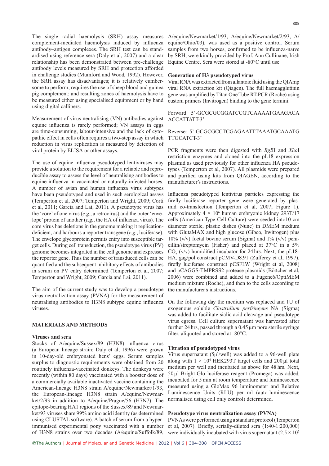complement-mediated haemolysis induced by influenza antibody–antigen complexes. The SRH test can be standardised using reference sera (Daly et al, 2007) and a clear relationship has been demonstrated between pre-challenge antibody levels measured by SRH and protection afforded in challenge studies (Mumford and Wood, 1992). However, the SRH assay has disadvantages; it is relatively cumbersome to perform; requires the use of sheep blood and guinea pig complement; and resulting zones of haemolysis have to be measured either using specialised equipment or by hand using digital callipers.

Measurement of virus neutralising (VN) antibodies against equine influenza is rarely performed; VN assays in eggs are time-consuming, labour-intensive and the lack of cytopathic effect in cells often requires a two-step assay in which reduction in virus replication is measured by detection of viral protein by ELISA or other assays.

The use of equine influenza pseudotyped lentiviruses may provide a solution to the requirement for a reliable and reproducible assay to assess the level of neutralising antibodies to equine influenza in vaccinated or naturally-infected horses. A number of avian and human influenza virus subtypes have been pseudotyped and used in such serological assays ( Temperton et al, 2007; Temperton and Wright, 2009; Corti et al, 2011; Garcia and Lai, 2011). A pseudotype virus has the 'core' of one virus (*e.g.*, a retrovirus) and the outer 'envelope' protein of another (*e.g.*, the HA of influenza virus). The core virus has deletions in the genome making it replicationdeficient, and harbours a reporter transgene (*e.g.*, luciferase). The envelope glycoprotein permits entry into susceptible target cells. During cell transduction, the pseudotype virus (PV) genome becomes integrated in the cell genome and expresses the reporter gene. Thus the number of transduced cells can be quantified and the subsequent inhibitory effects of antibodies in serum on PV entry determined (Temperton et al, 2007; Temperton and Wright, 2009; Garcia and Lai, 2011).

The aim of the current study was to develop a pseudotype virus neutralization assay (PVNA) for the measurement of neutralising antibodies to H3N8 subtype equine influenza viruses.

#### **MATERIALS AND METHODS**

#### **Viruses and sera**

Stocks of A/equine/Sussex/89 (H3N8) influenza virus (a European lineage strain; Daly et al, 1996) were grown in 10-day-old embryonated hens' eggs. Serum samples surplus to diagnostic requirements were obtained from 20 routinely influenza-vaccinated donkeys. The donkeys were recently (within 80 days) vaccinated with a booster dose of a commercially available inactivated vaccine containing the American-lineage H3N8 strain A/equine/Newmarket/1/93, the European-lineage H3N8 strain A/equine/Newmarket/2/93 in addition to A/equine/Prague/56 (H7N7). The epitope-bearing HA1 regions of the Sussex/89 and Newmarket/93 viruses share 99% amino acid identity (as determined using CLUSTAL software). A batch of serum from a hyperimmunised experimental pony vaccinated with a number

The single radial haemolysis (SRH) assay measures A/equine/Newmarket/1/93, A/equine/Newmarket/2/93, A/ equine/Ohio/03), was used as a positive control. Serum samples from two horses, confirmed to be influenza-naïve by SRH, were kindly provided by Prof. Ann Cullinane, Irish Equine Centre. Sera were stored at -80°C until use.

#### **Generation of H3 pseudotyped virus**

Viral RNA was extracted from allantoic fluid using the QIAmp viral RNA extraction kit (Qiagen). The full haemagglutinin gene was amplified by Titan One Tube RT-PCR (Roche) using custom primers (Invitrogen) binding to the gene termini:

Forward: 5'-GCGCGCGGATCCGTCAAAATGAAGACA ACCATTATT-3'

#### Reverse: 5'-GCGCGCCTCGAGAATTTAAATGCAAATG TTGCATCT-3'

PCR fragments were then digested with *Bgl*II and *Xho*I restriction enzymes and cloned into the pI.18 expression plasmid as used previously for other influenza HA pseudotypes (Temperton et al, 2007). All plasmids were prepared and purified using kits from QIAGEN, according to the manufacturer's instructions.

Influenza pseudotyped lentivirus particles expressing the firefly luciferase reporter gene were generated by plasmid co-transfection (Temperton et al, 2007; Figure 1). Approximately  $4 \times 10^6$  human embryonic kidney 293T/17 cells (American Type Cell Culture) were seeded into10 cm diameter sterile, plastic dishes (Nunc) in DMEM medium with GlutaMAX and high glucose (Gibco, Invitrogen) plus  $10\%$  (v/v) foetal bovine serum (Sigma) and  $1\%$  (v/v) penicillin/streptomycin (Fisher) and placed at 37°C in a 5%  $CO<sub>2</sub>$  (v/v) humidified incubator for 24 hrs. Next, the pI.18-HA, gag/pol construct pCMV-D8.91 (Zufferey et al, 1997), firefly luciferase construct pCSFLW (Wright et al, 2008) and pCAGGS-TMPRSS2 protease plasmids (Böttcher et al, 2006) were combined and added to a Fugene6/OptiMEM medium mixture (Roche), and then to the cells according to the manufacturer's instructions.

On the following day the medium was replaced and 1U of exogenous soluble *Clostridium perfringens* NA (Sigma) was added to facilitate sialic acid cleavage and pseudotype virus egress. Cell culture supernatant was harvested after further 24 hrs, passed through a 0.45 µm pore sterile syringe filter, aliquoted and stored at -80°C.

#### **Titration of pseudotyped virus**

Virus supernatant (5µl/well) was added to a 96-well plate along with  $1 \times 10^4$  HEK293T target cells and 200 µl total medium per well and incubated as above for 48 hrs. Next, 50 µl Bright-Glo luciferase reagent (Promega) was added, incubated for 5 min at room temperature and luminescence measured using a GloMax 96 luminometer and Relative Luminescence Units (RLU) per ml (auto-luminescence normalised using cell only control) determined.

#### **Pseudotype virus neutralization assay (PVNA)**

of H3N8 strains over two decades (A/equine/Suffolk/89, were individually incubated with virus supernatant  $(2.5 \times 10^5$ PVNAs were performed using a standard protocol ( Temperton et al, 2007). Briefly, serially-diluted sera (1:40-1:200,000)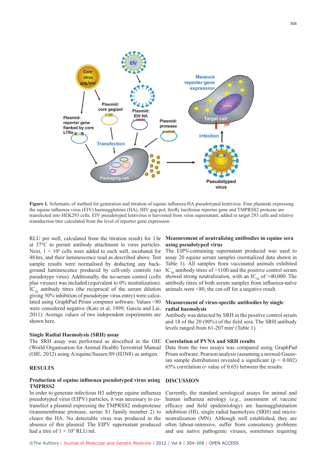

**Figure 1.** Schematic of method for generation and titration of equine influenza HA pseudotyped lentivirus. Four plasmids expressing the equine influenza virus (EIV) haemagglutinin (HA), HIV gag-pol, firefly luciferase reporter gene and TMPRSS2 protease are transfected into HEK293 cells. EIV pseudotyped lentivirus is harvested from virus supernatant, added to target 293 cells and relative transduction titre calculated from the level of reporter gene expression.

RLU per well, calculated from the titration result) for 1 hr at 37°C to permit antibody attachment to virus particles. Next,  $1 \times 10^4$  cells were added to each well, incubated for 48 hrs, and their luminescence read as described above. Test sample results were normalised by deducting any background luminescence produced by cell-only controls (no pseudotype virus). Additionally, the no-serum control (cells plus viruses) was included (equivalent to 0% neutralization).  $IC_{50}$  antibody titres (the reciprocal of the serum dilution giving 50% inhibition of pseudotype virus entry) were calculated using GraphPad Prism computer software. Values <80 were considered negative (Katz et al, 1999; Garcia and Lai, 2011). Average values of two independent experiments are shown here.

#### **Single Radial Haemolysis (SRH) assay**

The SRH assay was performed as described in the OIE (World Organisation for Animal Health) Terrestrial Manual (OIE, 2012) using A/equine/Sussex/89 (H3N8) as antigen.

#### **RESULTS**

#### **Production of equine influenza pseudotyped virus using TMPRSS2**

In order to generate infectious H3 subtype equine influenza pseudotyped virus (EIPV) particles, it was necessary to cotransfect a plasmid expressing the TMPRSS2 endoprotease (transmembrane protease, serine S1 family member 2) to cleave the HA. No detectable virus was produced in the absence of this plasmid. The EIPV supernatant produced had a titre of  $1 \times 10^9$  RLU/ml.

#### **Measurement of neutralizing antibodies in equine sera using pseudotyped virus**

The EIPV-containing supernatant produced was used to assay 20 equine serum samples (normalized data shown in Table 1). All samples from vaccinated animals exhibited IC<sub>50</sub> antibody titres of  $>1100$  and the positive control serum showed strong neutralization, with an IC<sub>50</sub> of >40,000. The antibody titres of both serum samples from influenza-naïve animals were <80, the cut-off for a negative result.

#### **Measurement of virus-specific antibodies by single radial haemolysis**

Antibody was detected by SRH in the positive control serum and 18 of the 20 (90%) of the field sera. The SRH antibody levels ranged from 61-207 mm<sup>2</sup>(Table 1).

#### **Correlation of PVNA and SRH results**

Data from the two assays was compared using GraphPad Prism software. Pearson analysis (assuming a normal/Gaussian sample distribution) revealed a significant ( $p = 0.002$ ) 65% correlation (*r* value of 0.65) between the results.

#### **DISCUSSION**

Currently, the standard serological assays for animal and human influenza serology (*e.g.*, assessment of vaccine efficacy and field epidemiology) are haemagglutination inhibition (HI), single radial haemolysis (SRH) and microneutralization (MN). Although well established, they are often labour-intensive, suffer from consistency problems and use native pathogenic viruses, sometimes requiring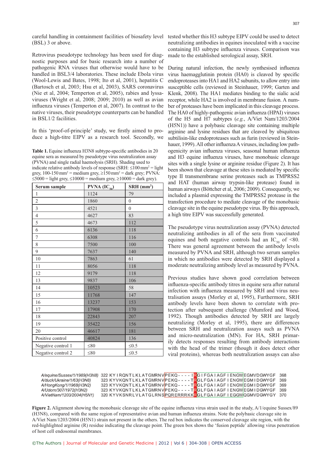careful handling in containment facilities of biosafety level tested whether this H3 subtype EIPV could be used to detect (BSL) 3 or above.

Retrovirus pseudotype technology has been used for diagnostic purposes and for basic research into a number of pathogenic RNA viruses that otherwise would have to be handled in BSL3/4 laboratories. These include Ebola virus (Wool-Lewis and Bates, 1998; Ito et al, 2001), hepatitis C (Bartosch et al, 2003; Hsu et al, 2003), SARS coronavirus (Nie et al, 2004; Temperton et al, 2005), rabies and lyssaviruses (Wright et al, 2008; 2009; 2010) as well as avian influenza viruses (Temperton et al, 2007). In contrast to the native viruses, their pseudotype counterparts can be handled in BSL1/2 facilities.

In this 'proof-of-principle' study, we firstly aimed to produce a high-titre EIPV as a research tool. Secondly, we

Table 1. Equine influenza H3N8 subtype-specific antibodies in 20 equine sera as measured by pseudotype virus neutralization assay (PVNA) and single radial haemolysis (SRH). Shading used to indicate relative antibody levels of response (SRH:  $\leq 100$  mm<sup>2</sup> = light grey,  $100-150$  mm<sup>2</sup> = medium grey,  $\geq 150$  mm<sup>2</sup> = dark grey; PVNA:  $\leq$ 5000 = light grey,  $\leq$ 10000 = medium grey,  $\geq$ 10000 = dark grey).

| Serum sample       | $P VNA (IC_{50})$ | SRH (mm <sup>2</sup> ) |
|--------------------|-------------------|------------------------|
| $\mathbf{1}$       | 1124              | 79                     |
| $\overline{2}$     | 1860              | $\mathbf{0}$           |
| $\overline{3}$     | 4521              | $\overline{0}$         |
| $\overline{4}$     | 4627              | 83                     |
| 5                  | 4673              | 112                    |
| 6                  | 6136              | 118                    |
| 7                  | 6308              | 116                    |
| 8                  | 7500              | 100                    |
| 9                  | 7637              | 140                    |
| 10                 | 7863              | 61                     |
| 11                 | 8056              | 118                    |
| 12                 | 9179              | 118                    |
| 13                 | 9837              | 106                    |
| 14                 | 10523             | 58                     |
| 15                 | 11768             | 147                    |
| 16                 | 13237             | 153                    |
| 17                 | 17908             | 170                    |
| 18                 | 22843             | 207                    |
| 19                 | 35422             | 156                    |
| 20                 | 46617             | 181                    |
| Positive control   | 40824             | 136                    |
| Negative control 1 | $\leq 80$         | $\leq 0.5$             |
| Negative control 2 | $\leq 80$         | $\leq 0.5$             |

neutralizing antibodies in equines inoculated with a vaccine containing H3 subtype influenza viruses. Comparison was made to the established serological assay, SRH.

During natural infection, the newly synthesised influenza virus haemagglutinin protein (HA0) is cleaved by specific endoproteases into HA1 and HA2 subunits, to allow entry into susceptible cells (reviewed in Steinhauer, 1999; Garten and Klenk, 2008). The HA1 mediates binding to the sialic acid receptor, while HA2 is involved in membrane fusion. A number of proteases have been implicated in this cleavage process. The HA0 of highly-pathogenic avian influenza (HPAI) viruses of the H5 and H7 subtypes (*e.g.*, A/Viet Nam/1203/2004 (H5N1)) have a polybasic cleavage site containing multiple arginine and lysine residues that are cleaved by ubiquitous subtilisin-like endoproteases such as furin (reviewed in Steinhauer, 1999). All other influenza A viruses, including low pathogenicity avian influenza viruses, seasonal human influenza and H3 equine influenza viruses, have monobasic cleavage sites with a single lysine or arginine residue (Figure 2). It has been shown that cleavage at these sites is mediated by specific type II transmembrane serine proteases such as TMPRSS2 and HAT (human airway trypsin-like protease) found in human airways (Böttcher et al, 2006; 2009). Consequently, we included a plasmid expressing the TMPRSS2 protease in the transfection procedure to mediate cleavage of the monobasic cleavage site in the equine pseudotype virus. By this approach, a high titre EIPV was successfully generated.

The pseudotype virus neutralization assay (PVNA) detected neutralizing antibodies in all of the sera from vaccinated equines and both negative controls had an IC<sub>50</sub> of  $\leq 80$ . There was general agreement between the antibody levels measured by PVNA and SRH, although two serum samples in which no antibodies were detected by SRH displayed a moderate neutralizing antibody level as measured by PVNA.

Previous studies have shown good correlation between influenza-specific antibody titres in equine sera after natural infection with influenza measured by SRH and virus neutralisation assays (Morley et al, 1995), Furthermore, SRH antibody levels have been shown to correlate with protection after subsequent challenge (Mumford and Wood, 1992). Though antibodies detected by SRH are largely neutralizing (Morley et al, 1995), there are differences between SRH and neutralization assays such as PVNA and micro-neutralization (MN). For HA, SRH primarily detects responses resulting from antibody interactions with the head of the trimer (though it does detect other viral proteins), whereas both neutralization assays can also

|                           |  | A/equine/Sussex/1/1989(H3N8) 322 KYIRQNTLKLATGMRNVPEKQ----IRGIFGAIAGFIENGW EGMVDGWYGF 368 |  |
|---------------------------|--|-------------------------------------------------------------------------------------------|--|
| A/duck/Ukraine/1/63(H3N8) |  | 323 KYVKQNTLKLATGMRNVPEKQ----TRGLFGAIAGFIENGWEGMIDGWYGF 369                               |  |
| A/HongKong/1/1968(H3N2)   |  | 323 KYVKQNTLKLATGMRNVPEKQ----TRGLFGAIAGFIENGWEGMIDGWYGF 369                               |  |
| A/Udorn/307/1972(H3N2)    |  | 323 KYVKQNTLKLATGMRNVPEKQ----TRGLFGAIAGFIENGWEGMIDGWYGF 369                               |  |
| A/VietNam/1203/2004(H5N1) |  | 320 KYVKSNRLVLATGLRNSPQRERRRKKRGLFGAIAGFIEGGWQGMVDGWYGY 370                               |  |

**Figure 2.** Alignment showing the monobasic cleavage site of the equine influenza virus strain used in the study, A/1/equine Sussex/89 (H3N8), compared with the same region of representative avian and human influenza strains. Note the polybasic cleavage site in A/Viet Nam/1203/2004 (H5N1) strain not present in the others. The red box indicates the conserved cleavage site region, with the red-highlighted arginine (R) residue indicating the cleavage point. The green box shows the 'fusion peptide' allowing virus penetration of host cell endosomal membranes.